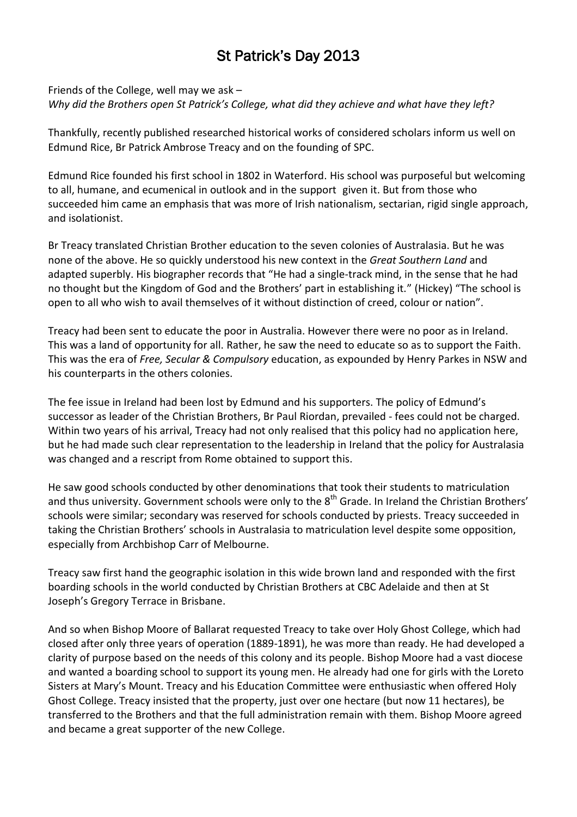## St Patrick's Day 2013

Friends of the College, well may we ask – *Why did the Brothers open St Patrick's College, what did they achieve and what have they left?*

Thankfully, recently published researched historical works of considered scholars inform us well on Edmund Rice, Br Patrick Ambrose Treacy and on the founding of SPC.

Edmund Rice founded his first school in 1802 in Waterford. His school was purposeful but welcoming to all, humane, and ecumenical in outlook and in the support given it. But from those who succeeded him came an emphasis that was more of Irish nationalism, sectarian, rigid single approach, and isolationist.

Br Treacy translated Christian Brother education to the seven colonies of Australasia. But he was none of the above. He so quickly understood his new context in the *Great Southern Land* and adapted superbly. His biographer records that "He had a single-track mind, in the sense that he had no thought but the Kingdom of God and the Brothers' part in establishing it." (Hickey) "The school is open to all who wish to avail themselves of it without distinction of creed, colour or nation".

Treacy had been sent to educate the poor in Australia. However there were no poor as in Ireland. This was a land of opportunity for all. Rather, he saw the need to educate so as to support the Faith. This was the era of *Free, Secular & Compulsory* education, as expounded by Henry Parkes in NSW and his counterparts in the others colonies.

The fee issue in Ireland had been lost by Edmund and his supporters. The policy of Edmund's successor as leader of the Christian Brothers, Br Paul Riordan, prevailed - fees could not be charged. Within two years of his arrival, Treacy had not only realised that this policy had no application here, but he had made such clear representation to the leadership in Ireland that the policy for Australasia was changed and a rescript from Rome obtained to support this.

He saw good schools conducted by other denominations that took their students to matriculation and thus university. Government schools were only to the 8<sup>th</sup> Grade. In Ireland the Christian Brothers' schools were similar; secondary was reserved for schools conducted by priests. Treacy succeeded in taking the Christian Brothers' schools in Australasia to matriculation level despite some opposition, especially from Archbishop Carr of Melbourne.

Treacy saw first hand the geographic isolation in this wide brown land and responded with the first boarding schools in the world conducted by Christian Brothers at CBC Adelaide and then at St Joseph's Gregory Terrace in Brisbane.

And so when Bishop Moore of Ballarat requested Treacy to take over Holy Ghost College, which had closed after only three years of operation (1889-1891), he was more than ready. He had developed a clarity of purpose based on the needs of this colony and its people. Bishop Moore had a vast diocese and wanted a boarding school to support its young men. He already had one for girls with the Loreto Sisters at Mary's Mount. Treacy and his Education Committee were enthusiastic when offered Holy Ghost College. Treacy insisted that the property, just over one hectare (but now 11 hectares), be transferred to the Brothers and that the full administration remain with them. Bishop Moore agreed and became a great supporter of the new College.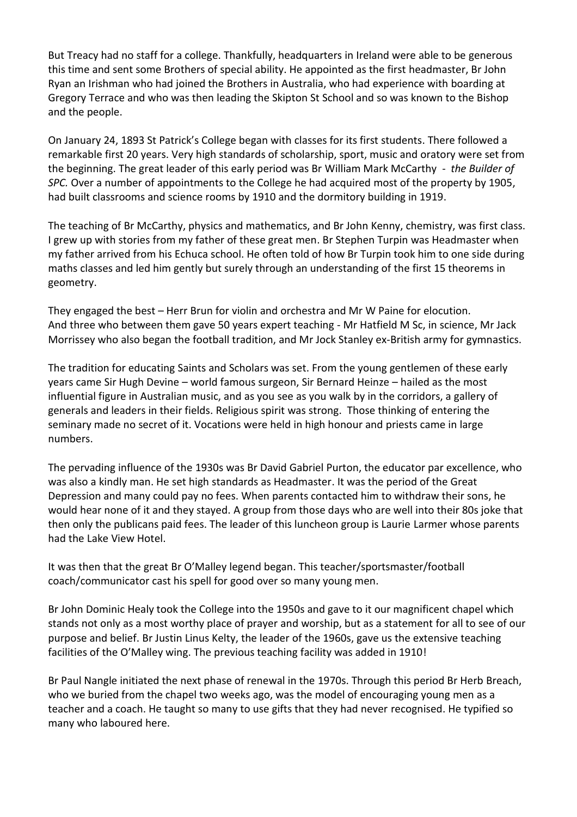But Treacy had no staff for a college. Thankfully, headquarters in Ireland were able to be generous this time and sent some Brothers of special ability. He appointed as the first headmaster, Br John Ryan an Irishman who had joined the Brothers in Australia, who had experience with boarding at Gregory Terrace and who was then leading the Skipton St School and so was known to the Bishop and the people.

On January 24, 1893 St Patrick's College began with classes for its first students. There followed a remarkable first 20 years. Very high standards of scholarship, sport, music and oratory were set from the beginning. The great leader of this early period was Br William Mark McCarthy - *the Builder of SPC.* Over a number of appointments to the College he had acquired most of the property by 1905, had built classrooms and science rooms by 1910 and the dormitory building in 1919.

The teaching of Br McCarthy, physics and mathematics, and Br John Kenny, chemistry, was first class. I grew up with stories from my father of these great men. Br Stephen Turpin was Headmaster when my father arrived from his Echuca school. He often told of how Br Turpin took him to one side during maths classes and led him gently but surely through an understanding of the first 15 theorems in geometry.

They engaged the best – Herr Brun for violin and orchestra and Mr W Paine for elocution. And three who between them gave 50 years expert teaching - Mr Hatfield M Sc, in science, Mr Jack Morrissey who also began the football tradition, and Mr Jock Stanley ex-British army for gymnastics.

The tradition for educating Saints and Scholars was set. From the young gentlemen of these early years came Sir Hugh Devine – world famous surgeon, Sir Bernard Heinze – hailed as the most influential figure in Australian music, and as you see as you walk by in the corridors, a gallery of generals and leaders in their fields. Religious spirit was strong. Those thinking of entering the seminary made no secret of it. Vocations were held in high honour and priests came in large numbers.

The pervading influence of the 1930s was Br David Gabriel Purton, the educator par excellence, who was also a kindly man. He set high standards as Headmaster. It was the period of the Great Depression and many could pay no fees. When parents contacted him to withdraw their sons, he would hear none of it and they stayed. A group from those days who are well into their 80s joke that then only the publicans paid fees. The leader of this luncheon group is Laurie Larmer whose parents had the Lake View Hotel.

It was then that the great Br O'Malley legend began. This teacher/sportsmaster/football coach/communicator cast his spell for good over so many young men.

Br John Dominic Healy took the College into the 1950s and gave to it our magnificent chapel which stands not only as a most worthy place of prayer and worship, but as a statement for all to see of our purpose and belief. Br Justin Linus Kelty, the leader of the 1960s, gave us the extensive teaching facilities of the O'Malley wing. The previous teaching facility was added in 1910!

Br Paul Nangle initiated the next phase of renewal in the 1970s. Through this period Br Herb Breach, who we buried from the chapel two weeks ago, was the model of encouraging young men as a teacher and a coach. He taught so many to use gifts that they had never recognised. He typified so many who laboured here.